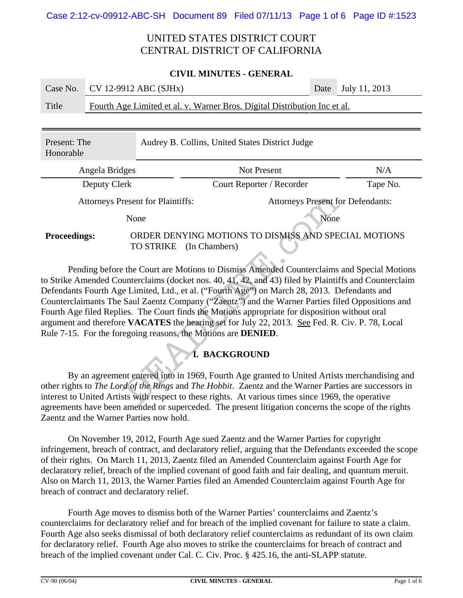| <b>CIVIL MINUTES - GENERAL</b>                                               |                       |                                                                           |      |          |               |
|------------------------------------------------------------------------------|-----------------------|---------------------------------------------------------------------------|------|----------|---------------|
| Case No.                                                                     | CV 12-9912 ABC (SJHx) |                                                                           |      | Date     | July 11, 2013 |
| Title                                                                        |                       | Fourth Age Limited et al. v. Warner Bros. Digital Distribution Inc et al. |      |          |               |
|                                                                              |                       |                                                                           |      |          |               |
| Audrey B. Collins, United States District Judge<br>Present: The<br>Honorable |                       |                                                                           |      |          |               |
| Angela Bridges                                                               |                       | <b>Not Present</b>                                                        |      |          |               |
| Deputy Clerk                                                                 |                       | Court Reporter / Recorder                                                 |      | Tape No. |               |
| <b>Attorneys Present for Plaintiffs:</b>                                     |                       | <b>Attorneys Present for Defendants:</b>                                  |      |          |               |
| None                                                                         |                       |                                                                           | None |          |               |

**Proceedings:** ORDER DENYING MOTIONS TO DISMISS AND SPECIAL MOTIONS TO STRIKE (In Chambers)

Pending before the Court are Motions to Dismiss Amended Counterclaims and Special Motions to Strike Amended Counterclaims (docket nos. 40, 41, 42, and 43) filed by Plaintiffs and Counterclaim Defendants Fourth Age Limited, Ltd., et al. ("Fourth Age") on March 28, 2013. Defendants and Counterclaimants The Saul Zaentz Company ("Zaentz") and the Warner Parties filed Oppositions and Fourth Age filed Replies. The Court finds the Motions appropriate for disposition without oral argument and therefore **VACATES** the hearing set for July 22, 2013. See Fed. R. Civ. P. 78, Local Rule 7-15. For the foregoing reasons, the Motions are **DENIED**. These I for Plaintiffs:<br>
None<br>
ORDER DENYING MOTIONS TO DISMISS AND SPE<br>
TO STRIKE (In Chambers)<br>
the Court are Motions to Dismiss Amended Counterclaims<br>
uunterclaims (docket nos. 40, 41, 42, and 43) filed by Plaintif<br>
e L

## **I. BACKGROUND**

By an agreement entered into in 1969, Fourth Age granted to United Artists merchandising and other rights to *The Lord of the Rings* and *The Hobbit*. Zaentz and the Warner Parties are successors in interest to United Artists with respect to these rights. At various times since 1969, the operative agreements have been amended or superceded. The present litigation concerns the scope of the rights Zaentz and the Warner Parties now hold.

On November 19, 2012, Fourth Age sued Zaentz and the Warner Parties for copyright infringement, breach of contract, and declaratory relief, arguing that the Defendants exceeded the scope of their rights. On March 11, 2013, Zaentz filed an Amended Counterclaim against Fourth Age for declaratory relief, breach of the implied covenant of good faith and fair dealing, and quantum meruit. Also on March 11, 2013, the Warner Parties filed an Amended Counterclaim against Fourth Age for breach of contract and declaratory relief.

Fourth Age moves to dismiss both of the Warner Parties' counterclaims and Zaentz's counterclaims for declaratory relief and for breach of the implied covenant for failure to state a claim. Fourth Age also seeks dismissal of both declaratory relief counterclaims as redundant of its own claim for declaratory relief. Fourth Age also moves to strike the counterclaims for breach of contract and breach of the implied covenant under Cal. C. Civ. Proc. § 425.16, the anti-SLAPP statute.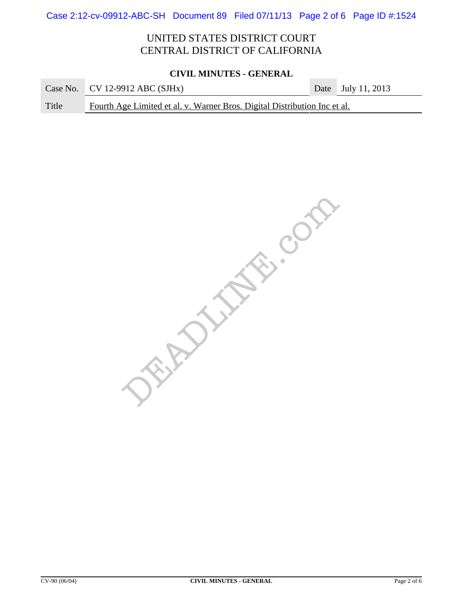#### **CIVIL MINUTES - GENERAL**

**Contract Contract** 

|       | Case No. CV 12-9912 ABC $(SJHx)$                                          |  | Date July 11, 2013 |  |
|-------|---------------------------------------------------------------------------|--|--------------------|--|
| Title | Fourth Age Limited et al. v. Warner Bros. Digital Distribution Inc et al. |  |                    |  |

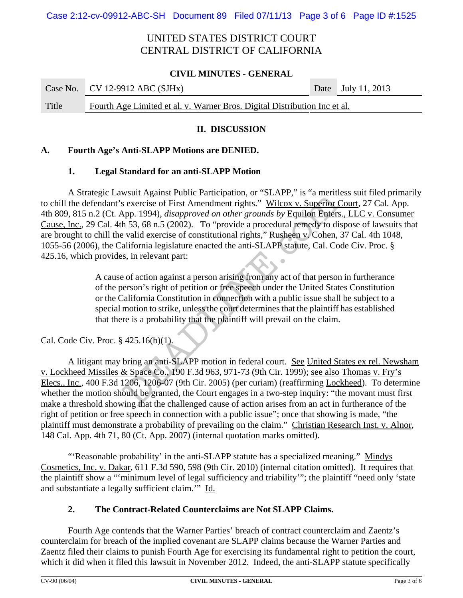#### **CIVIL MINUTES - GENERAL**

|       | Case No. $\vert$ CV 12-9912 ABC (SJHx)                                    |  | Date July 11, 2013 |  |
|-------|---------------------------------------------------------------------------|--|--------------------|--|
| Title | Fourth Age Limited et al. v. Warner Bros. Digital Distribution Inc et al. |  |                    |  |

### **II. DISCUSSION**

### **A. Fourth Age's Anti-SLAPP Motions are DENIED.**

#### **1. Legal Standard for an anti-SLAPP Motion**

A Strategic Lawsuit Against Public Participation, or "SLAPP," is "a meritless suit filed primarily to chill the defendant's exercise of First Amendment rights." Wilcox v. Superior Court, 27 Cal. App. 4th 809, 815 n.2 (Ct. App. 1994), *disapproved on other grounds by* Equilon Enters., LLC v. Consumer Cause, Inc., 29 Cal. 4th 53, 68 n.5 (2002). To "provide a procedural remedy to dispose of lawsuits that are brought to chill the valid exercise of constitutional rights," Rusheen v. Cohen, 37 Cal. 4th 1048, 1055-56 (2006), the California legislature enacted the anti-SLAPP statute, Cal. Code Civ. Proc. § 425.16, which provides, in relevant part: wsuit Against Fubile Faltelpation, or SEAFF, is a metric<br>s exercise of First Amendment rights." Wilcox v. Superior Chep. 1994), *disapproved on other grounds by* Equilon Enters<br>h 53, 68 n.5 (2002). To "provide a procedura

A cause of action against a person arising from any act of that person in furtherance of the person's right of petition or free speech under the United States Constitution or the California Constitution in connection with a public issue shall be subject to a special motion to strike, unless the court determines that the plaintiff has established that there is a probability that the plaintiff will prevail on the claim.

Cal. Code Civ. Proc. § 425.16(b)(1).

A litigant may bring an anti-SLAPP motion in federal court. See United States ex rel. Newsham v. Lockheed Missiles & Space Co., 190 F.3d 963, 971-73 (9th Cir. 1999); see also Thomas v. Fry's Elecs., Inc., 400 F.3d 1206, 1206-07 (9th Cir. 2005) (per curiam) (reaffirming Lockheed). To determine whether the motion should be granted, the Court engages in a two-step inquiry: "the movant must first make a threshold showing that the challenged cause of action arises from an act in furtherance of the right of petition or free speech in connection with a public issue"; once that showing is made, "the plaintiff must demonstrate a probability of prevailing on the claim." Christian Research Inst. v. Alnor, 148 Cal. App. 4th 71, 80 (Ct. App. 2007) (internal quotation marks omitted).

"'Reasonable probability' in the anti-SLAPP statute has a specialized meaning." Mindys Cosmetics, Inc. v. Dakar, 611 F.3d 590, 598 (9th Cir. 2010) (internal citation omitted). It requires that the plaintiff show a "'minimum level of legal sufficiency and triability'"; the plaintiff "need only 'state and substantiate a legally sufficient claim.'" Id.

### **2. The Contract-Related Counterclaims are Not SLAPP Claims.**

Fourth Age contends that the Warner Parties' breach of contract counterclaim and Zaentz's counterclaim for breach of the implied covenant are SLAPP claims because the Warner Parties and Zaentz filed their claims to punish Fourth Age for exercising its fundamental right to petition the court, which it did when it filed this lawsuit in November 2012. Indeed, the anti-SLAPP statute specifically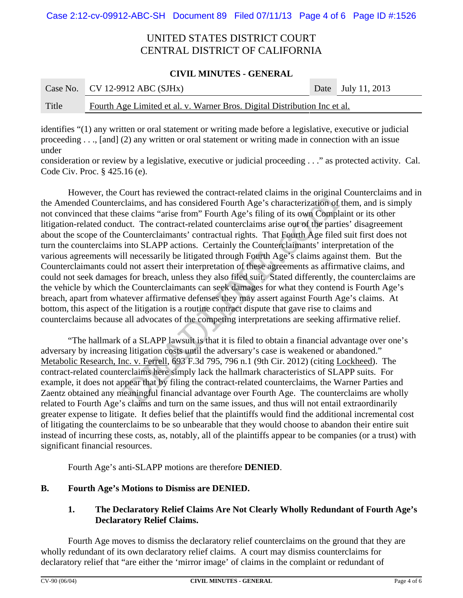### **CIVIL MINUTES - GENERAL**

**College** 

|       | Case No. CV 12-9912 ABC (SJHx)                                            |  | Date July 11, 2013 |  |
|-------|---------------------------------------------------------------------------|--|--------------------|--|
| Title | Fourth Age Limited et al. v. Warner Bros. Digital Distribution Inc et al. |  |                    |  |

identifies "(1) any written or oral statement or writing made before a legislative, executive or judicial proceeding . . ., [and] (2) any written or oral statement or writing made in connection with an issue under

consideration or review by a legislative, executive or judicial proceeding . . ." as protected activity. Cal. Code Civ. Proc. § 425.16 (e).

However, the Court has reviewed the contract-related claims in the original Counterclaims and in the Amended Counterclaims, and has considered Fourth Age's characterization of them, and is simply not convinced that these claims "arise from" Fourth Age's filing of its own Complaint or its other litigation-related conduct. The contract-related counterclaims arise out of the parties' disagreement about the scope of the Counterclaimants' contractual rights. That Fourth Age filed suit first does not turn the counterclaims into SLAPP actions. Certainly the Counterclaimants' interpretation of the various agreements will necessarily be litigated through Fourth Age's claims against them. But the Counterclaimants could not assert their interpretation of these agreements as affirmative claims, and could not seek damages for breach, unless they also filed suit. Stated differently, the counterclaims are the vehicle by which the Counterclaimants can seek damages for what they contend is Fourth Age's breach, apart from whatever affirmative defenses they may assert against Fourth Age's claims. At bottom, this aspect of the litigation is a routine contract dispute that gave rise to claims and counterclaims because all advocates of the competing interpretations are seeking affirmative relief. claims, and has considered Flouring in the original<br>claims, and has considered Fourth Age's characterization of<br>claims "arise from" Fourth Age's filing of its own Compl<br>uct. The contract-related counterclaims arise out of

"The hallmark of a SLAPP lawsuit is that it is filed to obtain a financial advantage over one's adversary by increasing litigation costs until the adversary's case is weakened or abandoned." Metabolic Research, Inc. v. Ferrell, 693 F.3d 795, 796 n.1 (9th Cir. 2012) (citing Lockheed). The contract-related counterclaims here simply lack the hallmark characteristics of SLAPP suits. For example, it does not appear that by filing the contract-related counterclaims, the Warner Parties and Zaentz obtained any meaningful financial advantage over Fourth Age. The counterclaims are wholly related to Fourth Age's claims and turn on the same issues, and thus will not entail extraordinarily greater expense to litigate. It defies belief that the plaintiffs would find the additional incremental cost of litigating the counterclaims to be so unbearable that they would choose to abandon their entire suit instead of incurring these costs, as, notably, all of the plaintiffs appear to be companies (or a trust) with significant financial resources.

Fourth Age's anti-SLAPP motions are therefore **DENIED**.

## **B. Fourth Age's Motions to Dismiss are DENIED.**

## **1. The Declaratory Relief Claims Are Not Clearly Wholly Redundant of Fourth Age's Declaratory Relief Claims.**

Fourth Age moves to dismiss the declaratory relief counterclaims on the ground that they are wholly redundant of its own declaratory relief claims. A court may dismiss counterclaims for declaratory relief that "are either the 'mirror image' of claims in the complaint or redundant of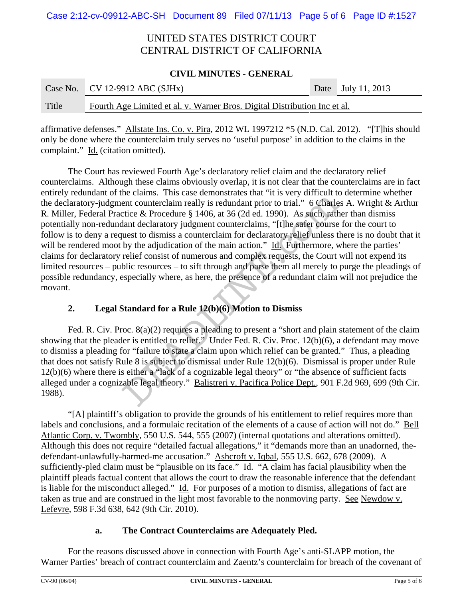#### **CIVIL MINUTES - GENERAL**

**Contract Contract** 

|       | Case No. $\vert$ CV 12-9912 ABC (SJHx)                                    |  | Date July 11, 2013 |
|-------|---------------------------------------------------------------------------|--|--------------------|
| Title | Fourth Age Limited et al. v. Warner Bros. Digital Distribution Inc et al. |  |                    |

affirmative defenses." Allstate Ins. Co. v. Pira, 2012 WL 1997212 \*5 (N.D. Cal. 2012). "[T]his should only be done where the counterclaim truly serves no 'useful purpose' in addition to the claims in the complaint." Id. (citation omitted).

The Court has reviewed Fourth Age's declaratory relief claim and the declaratory relief counterclaims. Although these claims obviously overlap, it is not clear that the counterclaims are in fact entirely redundant of the claims. This case demonstrates that "it is very difficult to determine whether the declaratory-judgment counterclaim really is redundant prior to trial." 6 Charles A. Wright & Arthur R. Miller, Federal Practice & Procedure § 1406, at 36 (2d ed. 1990). As such, rather than dismiss potentially non-redundant declaratory judgment counterclaims, "[t]he safer course for the court to follow is to deny a request to dismiss a counterclaim for declaratory relief unless there is no doubt that it will be rendered moot by the adjudication of the main action." Id. Furthermore, where the parties' claims for declaratory relief consist of numerous and complex requests, the Court will not expend its limited resources – public resources – to sift through and parse them all merely to purge the pleadings of possible redundancy, especially where, as here, the presence of a redundant claim will not prejudice the movant. The claims. This case demonstrates that it is very different contracted<br>ent counterclaim really is redundant prior to trial." 6 Charle<br>ctice & Procedure § 1406, at 36 (2d el. 1990). As such, rath<br>dant declaratory judgment

## **2. Legal Standard for a Rule 12(b)(6) Motion to Dismiss**

Fed. R. Civ. Proc.  $8(a)(2)$  requires a pleading to present a "short and plain statement of the claim showing that the pleader is entitled to relief." Under Fed. R. Civ. Proc. 12(b)(6), a defendant may move to dismiss a pleading for "failure to state a claim upon which relief can be granted." Thus, a pleading that does not satisfy Rule 8 is subject to dismissal under Rule 12(b)(6). Dismissal is proper under Rule 12(b)(6) where there is either a "lack of a cognizable legal theory" or "the absence of sufficient facts alleged under a cognizable legal theory." Balistreri v. Pacifica Police Dept., 901 F.2d 969, 699 (9th Cir. 1988).

"[A] plaintiff's obligation to provide the grounds of his entitlement to relief requires more than labels and conclusions, and a formulaic recitation of the elements of a cause of action will not do." Bell Atlantic Corp. v. Twombly, 550 U.S. 544, 555 (2007) (internal quotations and alterations omitted). Although this does not require "detailed factual allegations," it "demands more than an unadorned, thedefendant-unlawfully-harmed-me accusation." Ashcroft v. Iqbal, 555 U.S. 662, 678 (2009). A sufficiently-pled claim must be "plausible on its face." Id. "A claim has facial plausibility when the plaintiff pleads factual content that allows the court to draw the reasonable inference that the defendant is liable for the misconduct alleged." Id. For purposes of a motion to dismiss, allegations of fact are taken as true and are construed in the light most favorable to the nonmoving party. See Newdow v. Lefevre, 598 F.3d 638, 642 (9th Cir. 2010).

## **a. The Contract Counterclaims are Adequately Pled.**

For the reasons discussed above in connection with Fourth Age's anti-SLAPP motion, the Warner Parties' breach of contract counterclaim and Zaentz's counterclaim for breach of the covenant of